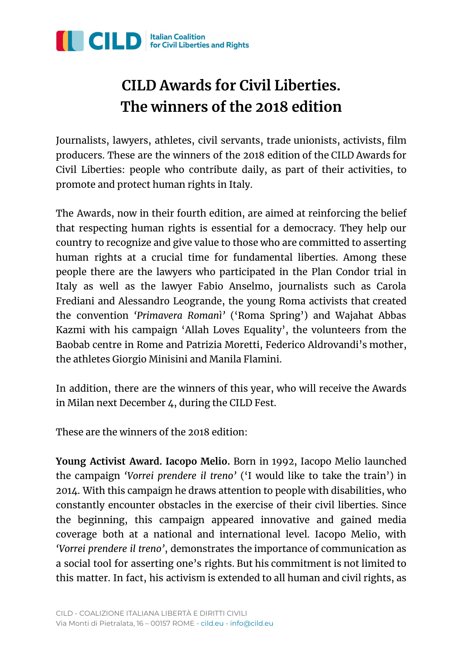

## **CILD Awards for Civil Liberties. The winners of the 2018 edition**

Journalists, lawyers, athletes, civil servants, trade unionists, activists, film producers. These are the winners of the 2018 edition of the CILD Awards for Civil Liberties: people who contribute daily, as part of their activities, to promote and protect human rights in Italy.

The Awards, now in their fourth edition, are aimed at reinforcing the belief that respecting human rights is essential for a democracy. They help our country to recognize and give value to those who are committed to asserting human rights at a crucial time for fundamental liberties. Among these people there are the lawyers who participated in the Plan Condor trial in Italy as well as the lawyer Fabio Anselmo, journalists such as Carola Frediani and Alessandro Leogrande, the young Roma activists that created the convention *'Primavera Romanì'* ('Roma Spring') and Wajahat Abbas Kazmi with his campaign 'Allah Loves Equality' , the volunteers from the Baobab centre in Rome and Patrizia Moretti, Federico Aldrovandi's mother, the athletes Giorgio Minisini and Manila Flamini.

In addition, there are the winners of this year, who will receive the Awards in Milan next December 4, during the CILD Fest.

These are the winners of the 2018 edition:

**Young Activist Award. Iacopo Melio.** Born in 1992, Iacopo Melio launched the campaign *'Vorrei prendere il treno'* ('I would like to take the train') in 2014. With this campaign he draws attention to people with disabilities, who constantly encounter obstacles in the exercise of their civil liberties. Since the beginning, this campaign appeared innovative and gained media coverage both at a national and international level. Iacopo Melio, with *'Vorrei prendere il treno'* , demonstrates the importance of communication as a social tool for asserting one's rights. But his commitment is not limited to this matter. In fact, his activism is extended to all human and civil rights, as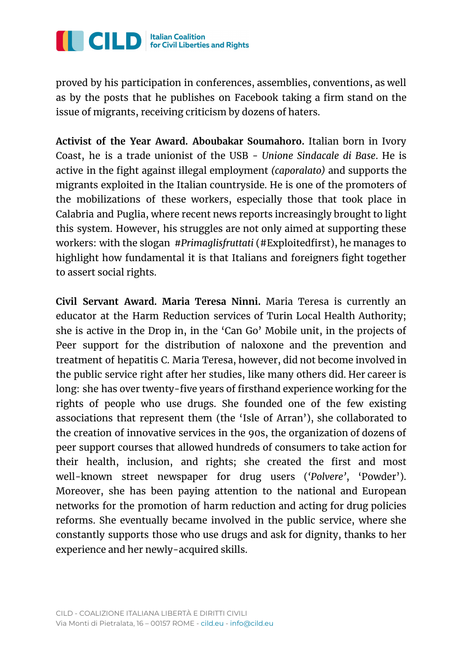

proved by his participation in conferences, assemblies, conventions, as well as by the posts that he publishes on Facebook taking a firm stand on the issue of migrants, receiving criticism by dozens of haters.

**Activist of the Year Award. Aboubakar Soumahoro.** Italian born in Ivory Coast, he is a trade unionist of the USB - *Unione Sindacale di Base*. He is active in the fight against illegal employment *(caporalato)* and supports the migrants exploited in the Italian countryside. He is one of the promoters of the mobilizations of these workers, especially those that took place in Calabria and Puglia, where recent news reports increasingly brought to light this system. However, his struggles are not only aimed at supporting these workers: with the slogan *#Primaglisfruttati* (#Exploitedfirst), he manages to highlight how fundamental it is that Italians and foreigners fight together to assert social rights.

**Civil Servant Award. Maria Teresa Ninni.** Maria Teresa is currently an educator at the Harm Reduction services of Turin Local Health Authority; she is active in the Drop in, in the 'Can Go' Mobile unit, in the projects of Peer support for the distribution of naloxone and the prevention and treatment of hepatitis C. Maria Teresa, however, did not become involved in the public service right after her studies, like many others did. Her career is long: she has over twenty-five years of firsthand experience working for the rights of people who use drugs. She founded one of the few existing associations that represent them (the 'Isle of Arran'), she collaborated to the creation of innovative services in the 90s, the organization of dozens of peer support courses that allowed hundreds of consumers to take action for their health, inclusion, and rights; she created the first and most well-known street newspaper for drug users (*'Polvere'* , 'Powder'). Moreover, she has been paying attention to the national and European networks for the promotion of harm reduction and acting for drug policies reforms. She eventually became involved in the public service, where she constantly supports those who use drugs and ask for dignity, thanks to her experience and her newly-acquired skills.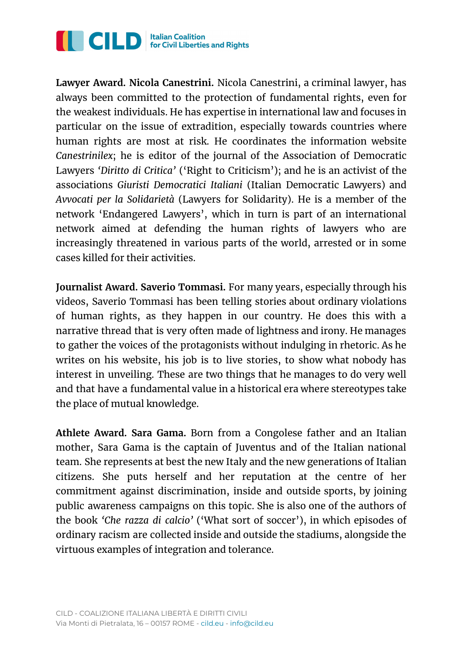

**Lawyer Award. Nicola Canestrini.** Nicola Canestrini, a criminal lawyer, has always been committed to the protection of fundamental rights, even for the weakest individuals. He has expertise in international law and focuses in particular on the issue of extradition, especially towards countries where human rights are most at risk. He coordinates the information website *Canestrinilex*; he is editor of the journal of the Association of Democratic Lawyers *'Diritto di Critica'* ('Right to Criticism'); and he is an activist of the associations *Giuristi Democratici Italiani* (Italian Democratic Lawyers) and *Avvocati per la Solidarietà* (Lawyers for Solidarity). He is a member of the network 'Endangered Lawyers' , which in turn is part of an international network aimed at defending the human rights of lawyers who are increasingly threatened in various parts of the world, arrested or in some cases killed for their activities.

**Journalist Award. Saverio Tommasi.** For many years, especially through his videos, Saverio Tommasi has been telling stories about ordinary violations of human rights, as they happen in our country. He does this with a narrative thread that is very often made of lightness and irony. He manages to gather the voices of the protagonists without indulging in rhetoric. As he writes on his website, his job is to live stories, to show what nobody has interest in unveiling. These are two things that he manages to do very well and that have a fundamental value in a historical era where stereotypes take the place of mutual knowledge.

**Athlete Award. Sara Gama.** Born from a Congolese father and an Italian mother, Sara Gama is the captain of Juventus and of the Italian national team. She represents at best the new Italy and the new generations of Italian citizens. She puts herself and her reputation at the centre of her commitment against discrimination, inside and outside sports, by joining public awareness campaigns on this topic. She is also one of the authors of the book *'Che razza di calcio'* ('What sort of soccer'), in which episodes of ordinary racism are collected inside and outside the stadiums, alongside the virtuous examples of integration and tolerance.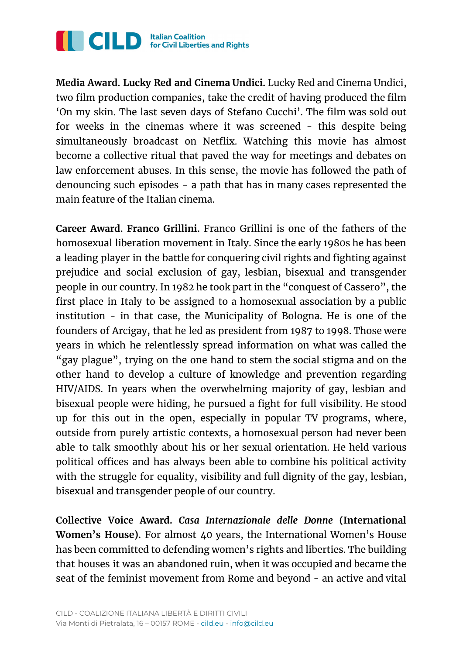

**Media Award. Lucky Red and Cinema Undici.** Lucky Red and Cinema Undici, two film production companies, take the credit of having produced the film 'On my skin. The last seven days of Stefano Cucchi'. The film was sold out for weeks in the cinemas where it was screened - this despite being simultaneously broadcast on Netflix. Watching this movie has almost become a collective ritual that paved the way for meetings and debates on law enforcement abuses. In this sense, the movie has followed the path of denouncing such episodes - a path that has in many cases represented the main feature of the Italian cinema.

**Career Award. Franco Grillini.** Franco Grillini is one of the fathers of the homosexual liberation movement in Italy. Since the early 1980s he has been a leading player in the battle for conquering civil rights and fighting against prejudice and social exclusion of gay, lesbian, bisexual and transgender people in our country. In 1982 he took part in the "conquest of Cassero" , the first place in Italy to be assigned to a homosexual association by a public institution - in that case, the Municipality of Bologna. He is one of the founders of Arcigay, that he led as president from 1987 to 1998. Those were years in which he relentlessly spread information on what was called the "gay plague" , trying on the one hand to stem the social stigma and on the other hand to develop a culture of knowledge and prevention regarding HIV/AIDS. In years when the overwhelming majority of gay, lesbian and bisexual people were hiding, he pursued a fight for full visibility. He stood up for this out in the open, especially in popular TV programs, where, outside from purely artistic contexts, a homosexual person had never been able to talk smoothly about his or her sexual orientation. He held various political offices and has always been able to combine his political activity with the struggle for equality, visibility and full dignity of the gay, lesbian, bisexual and transgender people of our country.

**Collective Voice Award.** *Casa Internazionale delle Donne* **(International Women's House).** For almost 40 years, the International Women's House has been committed to defending women's rights and liberties. The building that houses it was an abandoned ruin, when it was occupied and became the seat of the feminist movement from Rome and beyond - an active and vital